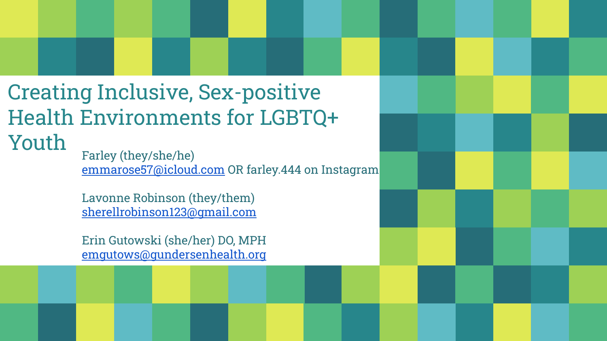## Creating Inclusive, Sex-positive Health Environments for LGBTQ+ Youth Farley (they/she/he)

[emmarose57@icloud.com](mailto:emmarose57@icloud.com) OR farley.444 on Instagram

Lavonne Robinson (they/them) [sherellrobinson123@gmail.com](mailto:sherellrobinson123@gmail.com)

Erin Gutowski (she/her) DO, MPH [emgutows@gundersenhealth.org](mailto:emgutows@gundersenhealth.org)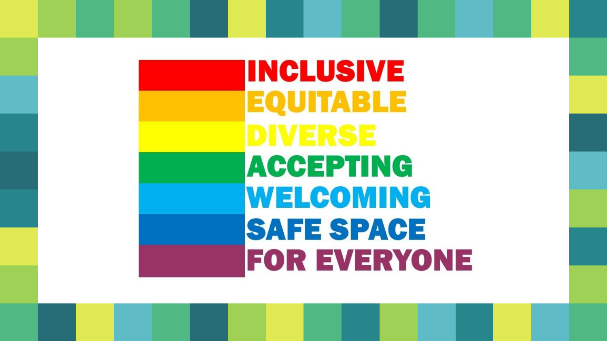# **INCLUSIVE EQUITABLE ACCEPTING** WELCOMING **SAFE SPACE FOR EVERYONE**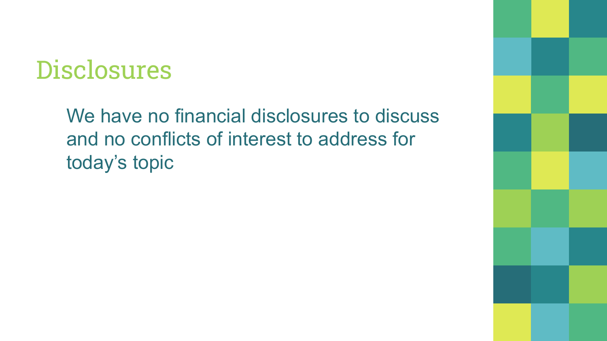## **Disclosures**

We have no financial disclosures to discuss and no conflicts of interest to address for today's topic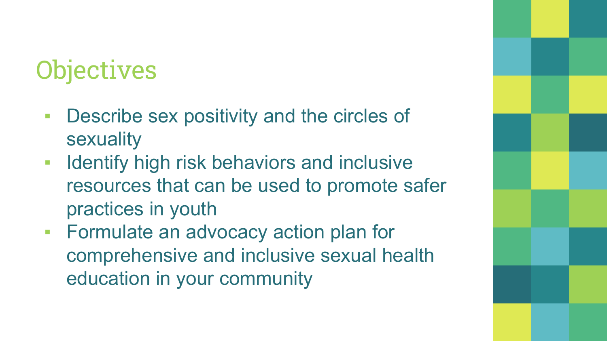## **Objectives**

- **Describe sex positivity and the circles of** sexuality
- **EXED IDENTIFY high risk behaviors and inclusive** resources that can be used to promote safer practices in youth
- **Formulate an advocacy action plan for** comprehensive and inclusive sexual health education in your community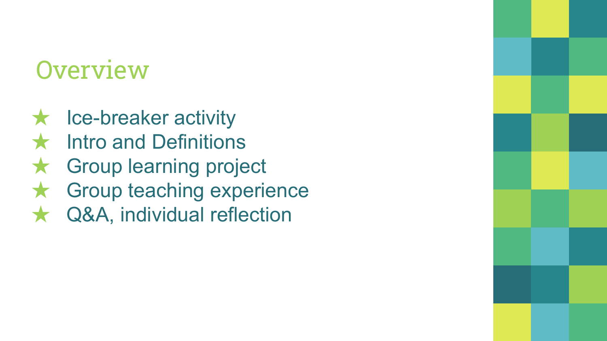## **Overview**

- $\star$  Ice-breaker activity
- **Intro and Definitions**
- ★ Group learning project
- ★ Group teaching experience
- Q&A, individual reflection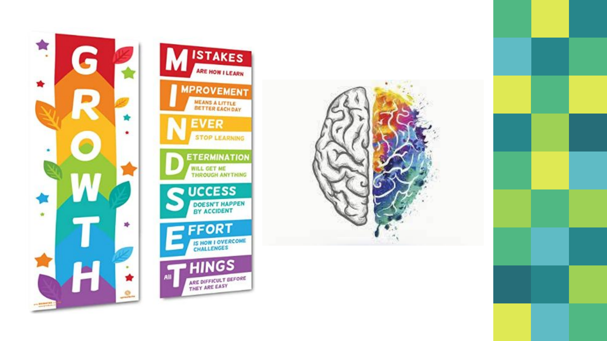



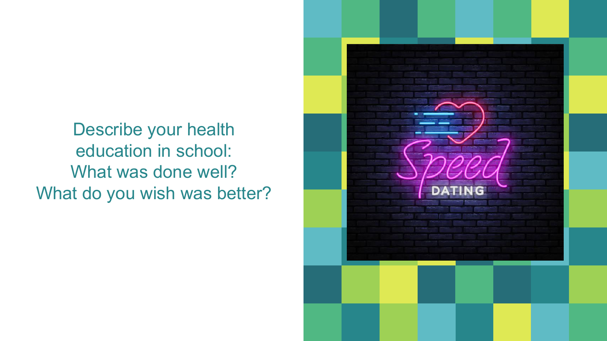Describe your health education in school: What was done well? What do you wish was better?

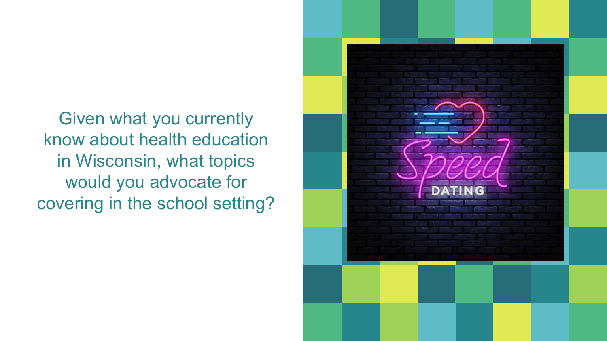Given what you currently know about health education in Wisconsin, what topics would you advocate for covering in the school setting?

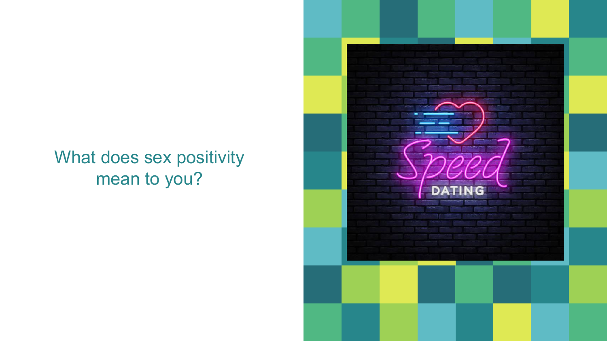### What does sex positivity mean to you?

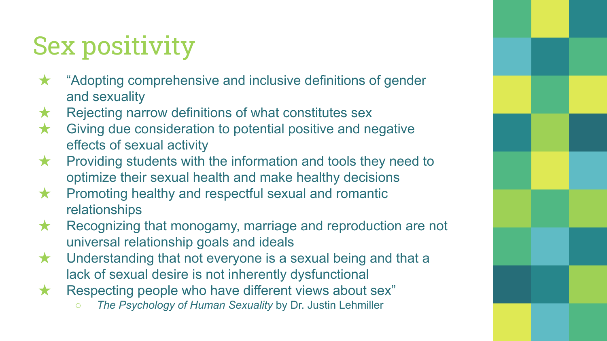## Sex positivity

- "Adopting comprehensive and inclusive definitions of gender and sexuality
- $\star$  Rejecting narrow definitions of what constitutes sex
- ★ Giving due consideration to potential positive and negative effects of sexual activity
- $\star$  Providing students with the information and tools they need to optimize their sexual health and make healthy decisions
- **★** Promoting healthy and respectful sexual and romantic relationships
- $\star$  Recognizing that monogamy, marriage and reproduction are not universal relationship goals and ideals
- $\star$  Understanding that not everyone is a sexual being and that a lack of sexual desire is not inherently dysfunctional
- ★ Respecting people who have different views about sex"
	- *○ The Psychology of Human Sexuality* by Dr. Justin Lehmiller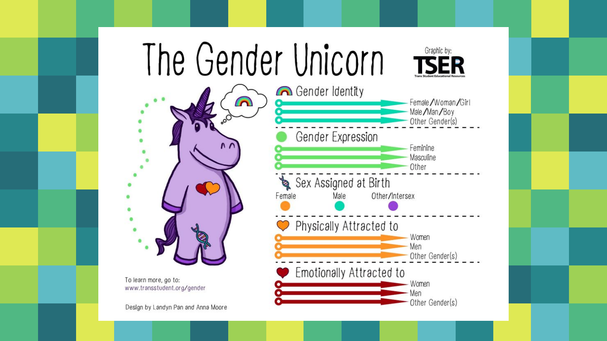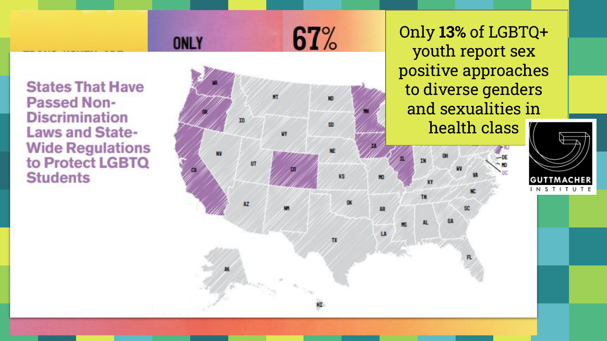Only **13%** of LGBTQ+ youth report sex positive approaches to diverse genders and sexualities in

67%

LA

**IIT** 

AZ

health class



**States That Have Passed Non-Discrimination Laws and State-Wide Regulations** to Protect LGBTQ **Students** 

**ONLY**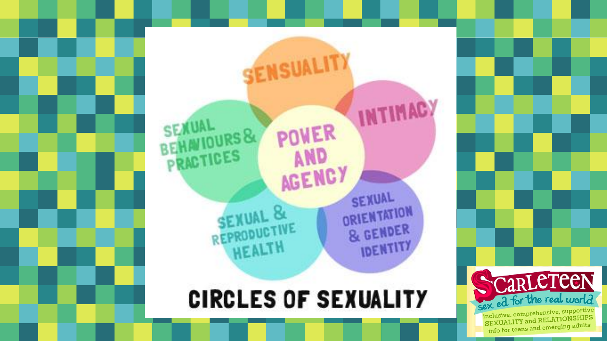



SEXUAL

ORIENTATION

& GENDER **IDENTITY**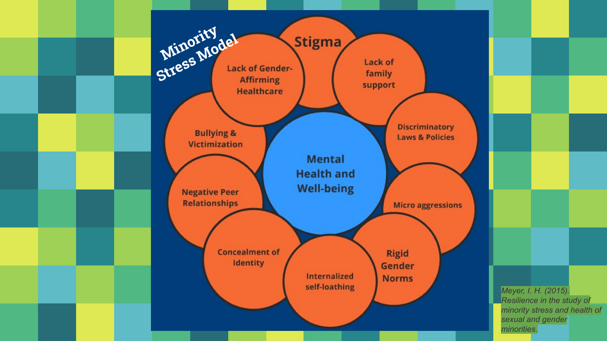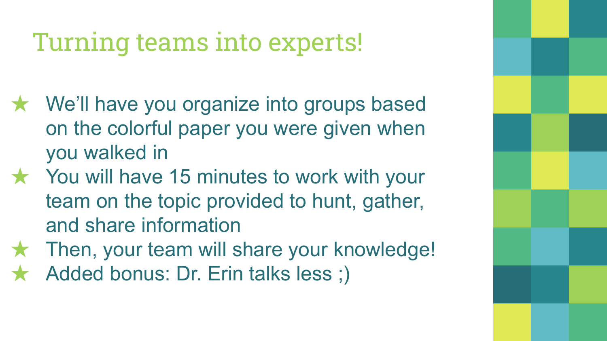## Turning teams into experts!

- ★ We'll have you organize into groups based on the colorful paper you were given when you walked in
- ★ You will have 15 minutes to work with your team on the topic provided to hunt, gather, and share information
- ★ Then, your team will share your knowledge!
- Added bonus: Dr. Erin talks less ;)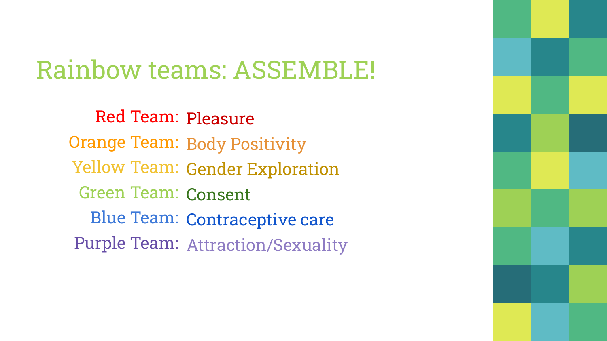## Rainbow teams: ASSEMBLE!

Red Team: Pleasure Orange Team: Body Positivity Yellow Team: Gender Exploration Green Team: Consent Blue Team: Contraceptive care Purple Team: Attraction/Sexuality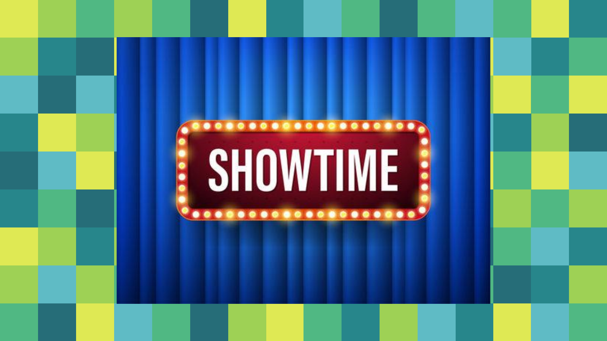## **SHOWTIME**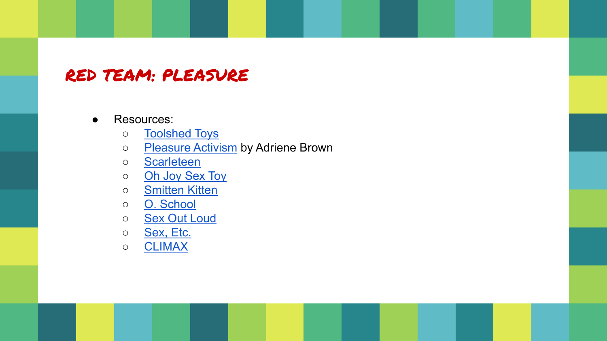### RED TEAM: PLEASURE

#### ● Resources:

- o [Toolshed Toys](https://www.toolshedtoys.com/)
- o [Pleasure Activism](https://www.goodreads.com/en/book/show/40549668-pleasure-activism) by Adriene Brown
- [Scarleteen](https://www.scarleteen.com/article/bodies/with_pleasure_a_view_of_whole_sexual_anatomy_for_every_body)
- o [Oh Joy Sex Toy](https://www.ohjoysextoy.com/)
- o [Smitten Kitten](https://www.smittenkittenonline.com/)
- [O. School](https://www.o.school/)
- o [Sex Out Loud](https://www.sexoutloud.org/)
- o [Sex, Etc.](https://sexetc.org/sex-ed/info-center/stories/?pageNum=1&topic%5B%5D=stories-your-body)
- [CLIMAX](https://climax.how/)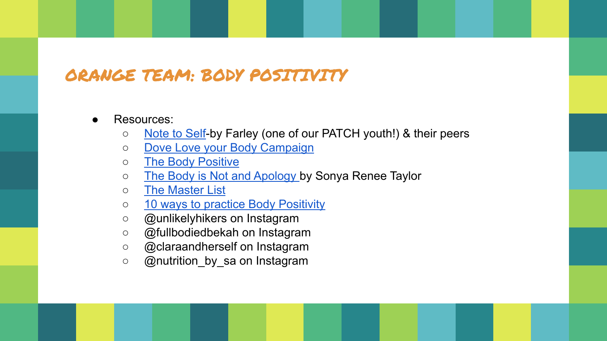### ORANGE TEAM: BODY POSITIVITY

- Resources:
	- [Note to Self](https://thenorsestar.com/2869/cover-story/note-to-self/)-by Farley (one of our PATCH youth!) & their peers
	- o [Dove Love your Body Campaign](https://www.dove.com/uk/dove-self-esteem-project/help-for-parents/respecting-and-looking-after-yourself/love-your-body.html)
	- [The Body Positive](https://thebodypositive.org/)
	- o [The Body is Not and Apology](https://www.amazon.com/Body-Not-Apology-Second-Self-Love/dp/1523090995/ref=sr_1_1?gclid=Cj0KCQjw6pOTBhCTARIsAHF23fIMhJ5U1d2O_kj5Rb9DfKDj-CkJz3wpp4LZ-DswVocKSDp_0ezzRvwaAo02EALw_wcB&hvadid=432989798354&hvdev=c&hvlocphy=200679&hvnetw=g&hvqmt=e&hvrand=13421335356992185239&hvtargid=kwd-494567131807&hydadcr=7441_9611280&keywords=the+body+is+not+an+apology+book&qid=1650840133&sr=8-1) by Sonya Renee Taylor
	- [The Master List](http://www.themilitantbaker.com/2016/02/the-master-body-positive-resource-list.html)
	- o [10 ways to practice Body Positivity](https://wellbeingtrust.org/bewell/10-ways-to-practice-body-positivity/)
	- @unlikelyhikers on Instagram
	- @fullbodiedbekah on Instagram
	- @claraandherself on Instagram
	- @nutrition\_by\_sa on Instagram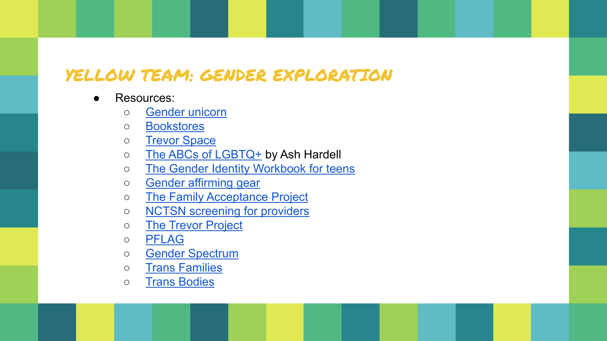### YELLOW TEAM: GENDER EXPLORATION

- Resources:
	- [Gender unicorn](https://transstudent.org/gender/)
	- [Bookstores](https://www.oprahdaily.com/entertainment/books/a36741294/queer-lgbtq-owned-bookstores/)
	- [Trevor Space](https://www.trevorspace.org/?gclid=Cj0KCQjw6pOTBhCTARIsAHF23fJjFWwBdIJusf9HrNsyNP3G1mDyA6pH-LrJsWrTgHP2hII7cz77P1YaAg5eEALw_wcB)
	- o [The ABCs of LGBTQ+](https://www.amazon.com/ABCs-LGBT-Ashley-Mardell/dp/163353409X) by Ash Hardell
	- o [The Gender Identity Workbook for teens](https://www.amazon.com/Gender-Identity-Workbook-Andrew-Maxwell/dp/1648765084/ref=pd_lpo_1?pd_rd_i=1648765084&psc=1)
	- [Gender affirming gear](https://www.gofreddie.com/resources/gender-affirming-gear-and-clothing-brands)
	- o [The Family Acceptance Project](https://familyproject.sfsu.edu/)
	- o **[NCTSN screening for providers](https://www.nctsn.org/sites/default/files/resources/special-resource/identifying-the-intersection-of-trauma-and-sexual-orientation-and-gender-indentity-the-screener.pdf)**
	- [The Trevor Project](https://www.thetrevorproject.org/resources/)
	- [PFLAG](https://pflag.org/publications)
	- [Gender Spectrum](https://genderspectrum.org/articles/gender-children-and-teens)
	- [Trans Families](https://transfamilies.org/)
	- [Trans Bodies](http://transbodies.com/)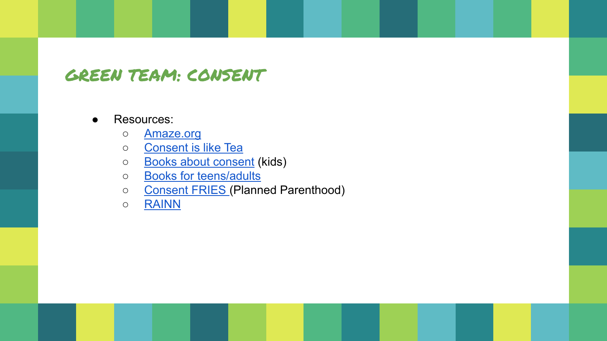### GREEN TEAM: CONSENT

- Resources:
	- [Amaze.org](https://amaze.org/video-descriptions/)
	- o **[Consent is like Tea](https://youtu.be/oQbei5JGiT8)**
	- [Books about consent](https://www.huffpost.com/entry/consent-bodily-autonomy-books-kids_l_6043f92ec5b613cec15e1323) (kids)
	- o [Books for teens/adults](https://www.bustle.com/p/5-nonfiction-books-about-consent-that-break-down-exactly-what-it-means-8564426)
	- [Consent FRIES](https://youtu.be/QTSDIilyA2I) (Planned Parenthood)
	- [RAINN](https://www.rainn.org/articles/what-is-consent)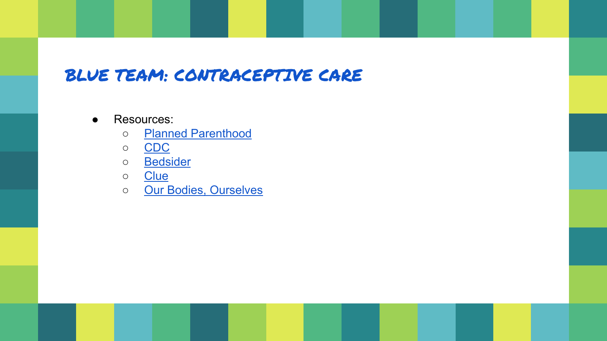### BLUE TEAM: CONTRACEPTIVE CARE

- Resources:
	- [Planned Parenthood](https://www.plannedparenthood.org/learn/birth-control?gclid=Cj0KCQjw6pOTBhCTARIsAHF23fLbl1w1_srJzdS5H4_TMkmzTqbEWK3cDLEQq8W196VVBpZweMhPkwIaAhBVEALw_wcB)
	- [CDC](https://www.cdc.gov/reproductivehealth/contraception/index.htm#Resources-for-consumers)
	- [Bedsider](https://www.bedsider.org/)
	- [Clue](https://helloclue.com/articles/birth-control)
	- o [Our Bodies, Ourselves](https://www.ourbodiesourselves.org/)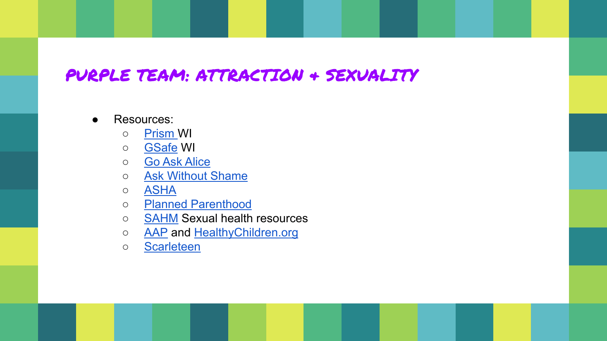### PURPLE TEAM: ATTRACTION & SEXUALITY

- Resources:
	- [Prism W](http://www.mhawisconsin.org/prism)I
	- **[GSafe](https://gsafewi.org/) WI**
	- [Go Ask Alice](https://goaskalice.columbia.edu/answered-questions/tag?cat=12&title=Sexual%20AND%20Reproductive%20Health)
	- [Ask Without Shame](https://askwithoutshame.org/)
	- [ASHA](https://www.ashasexualhealth.org/sexual-health/)
	- [Planned Parenthood](https://www.plannedparenthood.org/learn/teens)
	- **[SAHM](https://www.adolescenthealth.org/Resources/Clinical-Care-Resources/Sexual-Reproductive-Health/Sexual-Reproductive-Health-Resources-For-Adolesc.aspx) Sexual health resources**
	- o **[AAP](https://www.aap.org/en/patient-care/adolescent-sexual-health/)** and [HealthyChildren.org](https://www.healthychildren.org/English/news/Pages/Addressing-Healthy-Sexuality-for-Children-and-Teens-with-Disabilities.aspx)
	- [Scarleteen](https://www.scarleteen.com/article/bodies/sexuality_wtf_is_it_anyway)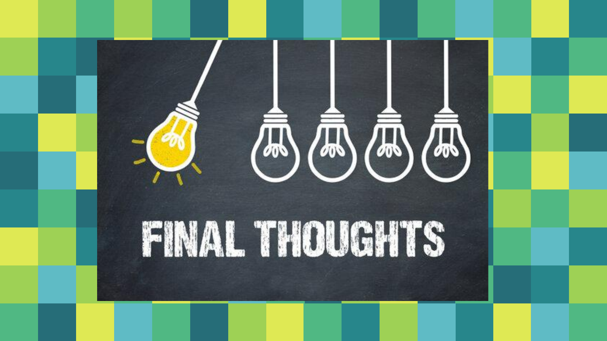